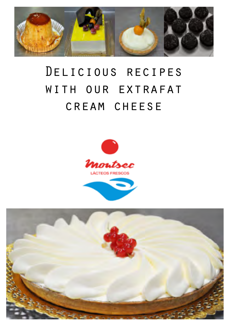

# Delicious recipes with our extrafat cream cheese



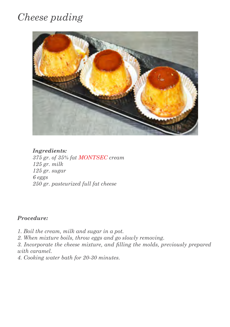# *Cheese puding*



*Ingredients: 375 gr. of 35% fat MONTSEC cream 125 gr. milk 125 gr. sugar 6 eggs 250 gr. pasteurized full fat cheese*

### *Procedure:*

- *1. Boil the cream, milk and sugar in a pot.*
- *2. When mixture boils, throw eggs and go slowly removing.*

*3. Incorporate the cheese mixture, and filling the molds, previously prepared with caramel.* 

*4. Cooking water bath for 20-30 minutes.*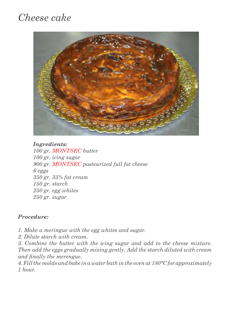# *Cheese cake*



*Ingredients: 100 gr. MONTSEC butter 100 gr. icing sugar 900 gr. MONTSEC pasteurized full fat cheese 6 eggs 350 gr. 35% fat cream 150 gr. starch 250 gr. egg whites 250 gr. sugar*

### *Procedure:*

- *1. Make a meringue with the egg whites and sugar.*
- *2. Dilute starch with cream.*

*3. Combine the butter with the icing sugar and add to the cheese mixture. Then add the eggs gradually mixing gently. Add the starch diluted with cream and finally the merengue.* 

*4. Fill the molds and bake in a water bath in the oven at 180°C for approximately 1 hour.*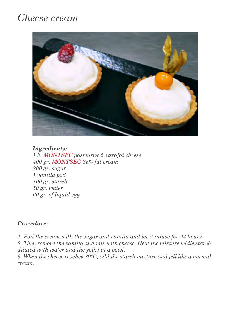### *Cheese cream*



### *Ingredients:*

*1 k. MONTSEC pasteurized extrafat cheese 400 gr. MONTSEC 35% fat cream 200 gr. sugar 1 vanilla pod 100 gr. starch 50 gr. water 60 gr. of liquid egg*

### *Procedure:*

*1. Boil the cream with the sugar and vanilla and let it infuse for 24 hours.*

*2. Then remove the vanilla and mix with cheese. Heat the mixture while starch diluted with water and the yolks in a bowl.*

*3. When the cheese reaches 80°C, add the starch mixture and jell like a normal cream.*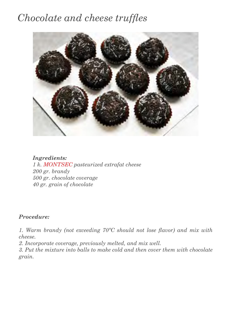## *Chocolate and cheese truffles*



*Ingredients: 1 k. MONTSEC pasteurized extrafat cheese 200 gr. brandy 500 gr. chocolate coverage 40 gr. grain of chocolate*

### *Procedure:*

*1. Warm brandy (not exceeding 70ºC should not lose flavor) and mix with cheese.*

*2. Incorporate coverage, previously melted, and mix well.*

*3. Put the mixture into balls to make cold and then cover them with chocolate grain.*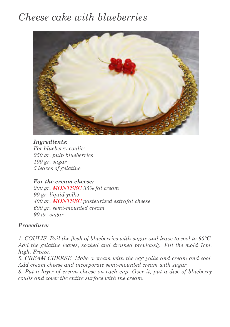# *Cheese cake with blueberries*



*Ingredients: For blueberry coulis: 250 gr. pulp blueberries 100 gr. sugar 5 leaves of gelatine*

### *For the cream cheese:*

*200 gr. MONTSEC 35% fat cream 90 gr. liquid yolks 400 gr. MONTSEC pasteurized extrafat cheese 600 gr. semi-mounted cream 90 gr. sugar*

### *Procedure:*

*1. COULIS. Boil the flesh of blueberries with sugar and leave to cool to 60°C.*  Add the gelatine leaves, soaked and drained previously. Fill the mold 1cm. *high. Freeze.*

*2. CREAM CHEESE. Make a cream with the egg yolks and cream and cool. Add cream cheese and incorporate semi-mounted cream with sugar.*

*3. Put a layer of cream cheese on each cup. Over it, put a disc of blueberry coulis and cover the entire surface with the cream.*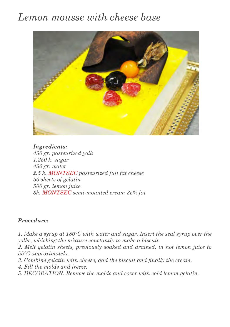# *Lemon mousse with cheese base*



*Ingredients: 450 gr. pasteurized yolk 1,250 k. sugar 450 gr. water 2.5 k. MONTSEC pasteurized full fat cheese 50 sheets of gelatin 500 gr. lemon juice 3k. MONTSEC semi-mounted cream 35% fat*

### *Procedure:*

*1. Make a syrup at 180°C with water and sugar. Insert the seal syrup over the yolks, whisking the mixture constantly to make a biscuit.* 

*2. Melt gelatin sheets, previously soaked and drained, in hot lemon juice to 55°C approximately.* 

- *3. Combine gelatin with cheese, add the biscuit and finally the cream.*
- *4. Fill the molds and freeze.*
- *5. DECORATION. Remove the molds and cover with cold lemon gelatin.*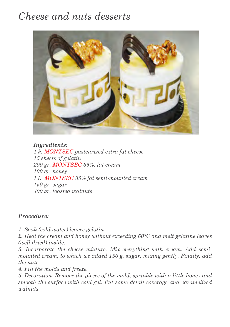# *Cheese and nuts desserts*



*Ingredients: 1 k. MONTSEC pasteurized extra fat cheese 15 sheets of gelatin 200 gr. MONTSEC 35%. fat cream 100 gr. honey 1 l. MONTSEC 35% fat semi-mounted cream 150 gr. sugar 400 gr. toasted walnuts*

### *Procedure:*

*1. Soak (cold water) leaves gelatin.* 

*2. Heat the cream and honey without exceeding 60°C and melt gelatine leaves (well dried) inside.* 

*3. Incorporate the cheese mixture. Mix everything with cream. Add semimounted cream, to which we added 150 g. sugar, mixing gently. Finally, add the nuts.* 

*4. Fill the molds and freeze.* 

*5. Decoration. Remove the pieces of the mold, sprinkle with a little honey and smooth the surface with cold gel. Put some detail coverage and caramelized walnuts.*